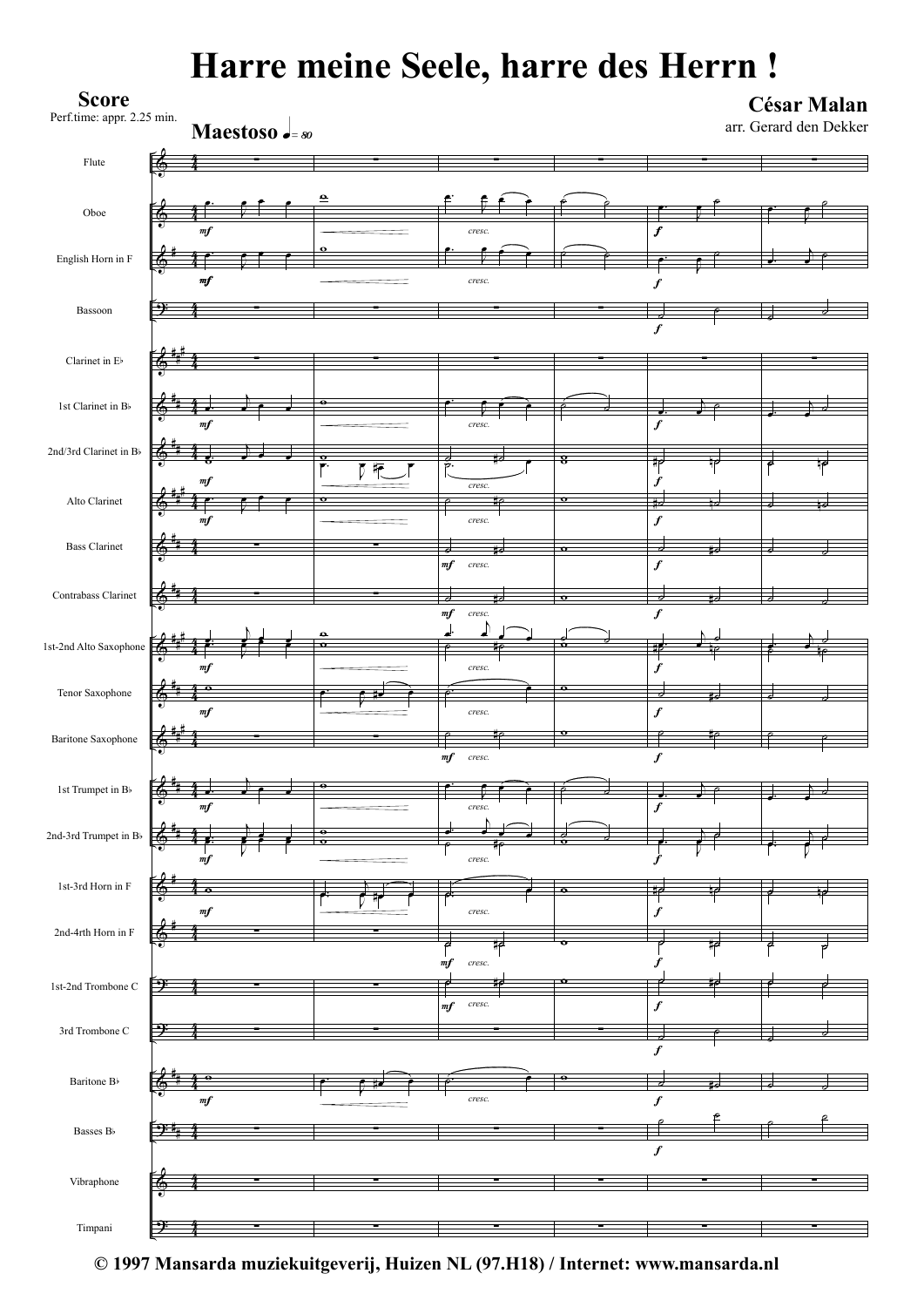## **Harre meine Seele, harre des Herrn !**

| <b>Score</b><br>Perf.time: appr. 2.25 min.    |                    | Maestoso .= 80 |                           |                               |                         |                                      | <b>César Malan</b><br>arr. Gerard den Dekker |
|-----------------------------------------------|--------------------|----------------|---------------------------|-------------------------------|-------------------------|--------------------------------------|----------------------------------------------|
| Flute                                         |                    |                |                           |                               |                         |                                      |                                              |
| Oboe                                          | $\it mf$           |                | ⊖                         | cresc.                        |                         | $\boldsymbol{f}$                     |                                              |
| English Horn in F                             | m f                |                |                           | cresc.                        |                         | f                                    |                                              |
| Bassoon                                       |                    |                |                           |                               |                         | $\boldsymbol{f}$                     |                                              |
| Clarinet in E                                 |                    |                |                           |                               |                         |                                      |                                              |
| 1st Clarinet in B                             | m f                |                | ۰                         | cresc.                        |                         | $\boldsymbol{f}$                     |                                              |
| 2nd/3rd Clarinet in $\rm B\ensuremath{\flat}$ |                    |                | $\mathbf o$<br>$\sqrt{r}$ | σ.                            |                         | Ħ۴                                   | ٦ρ                                           |
| Alto Clarinet                                 | $_{mf}$<br>m f     |                | $\mathbf o$               | cresc.<br>P<br>cresc.         | $\mathbf{\Omega}$       | $\bm{f}$<br>₽<br>$\boldsymbol{f}$    |                                              |
| <b>Bass Clarinet</b>                          |                    |                |                           | 긓<br>$\it mf$<br>cresc.       | $\mathbf{o}$            | ŧs<br>$\boldsymbol{f}$               |                                              |
| Contrabass Clarinet                           |                    |                |                           | m f<br>cresc.                 | $\overline{\mathbf{o}}$ | $\boldsymbol{f}$                     |                                              |
| 1st-2nd Alto Saxophone                        |                    |                | ō                         |                               | Ō                       | HΣ                                   |                                              |
| Tenor Saxophone                               | m f<br>$\it mf$    |                |                           | $\it{cres}c.$<br>cresc.       |                         | $\boldsymbol{f}$<br>$\boldsymbol{f}$ |                                              |
| Baritone Saxophone                            |                    |                |                           | $\it mf$<br>cresc.            | $\mathbf \sigma$        | $\boldsymbol{f}$                     |                                              |
| 1st Trumpet in B                              | Œ<br>∙<br>$\it mf$ |                |                           | cresc.                        |                         | $\boldsymbol{f}$                     |                                              |
| 2nd-3rd Trumpet in B <sup>b</sup>             | t¢                 |                | $\bullet$                 | ے                             |                         |                                      |                                              |
| 1st-3rd Horn in F                             | m f<br>۰           |                |                           | cresc.                        | $\bullet$               | $\boldsymbol{f}$<br>ŤР               |                                              |
| 2nd-4rth Horn in ${\rm F}$                    | $\it mf$           |                |                           | cresc.<br>ಕ<br>ijр            |                         | $\boldsymbol{f}$<br>t۵               |                                              |
| 1st-2nd Trombone C                            | ◕                  |                |                           | $\it mf$<br>cresc.<br>₩<br>₽  | $\bullet$               | f<br>₩                               |                                              |
| 3rd Trombone C                                |                    |                |                           | $\it mf$<br>$\mathit{cres}c.$ |                         | $\boldsymbol{f}$                     |                                              |
| Baritone $\rm B\ensuremath{\flat}$            | þ                  |                |                           |                               | ۰                       | $\pmb{f}$<br>ᢦ<br>制                  |                                              |
| Basses $\rm B\flat$                           | $\it mf$           |                |                           | cresc.                        |                         | $\boldsymbol{f}$                     |                                              |
| Vibraphone                                    |                    |                |                           |                               |                         | $\boldsymbol{f}$                     |                                              |
| Timpani                                       |                    |                |                           |                               |                         |                                      |                                              |

**© 1997 Mansarda muziekuitgeverij, Huizen NL (97.H18) / Internet: www.mansarda.nl**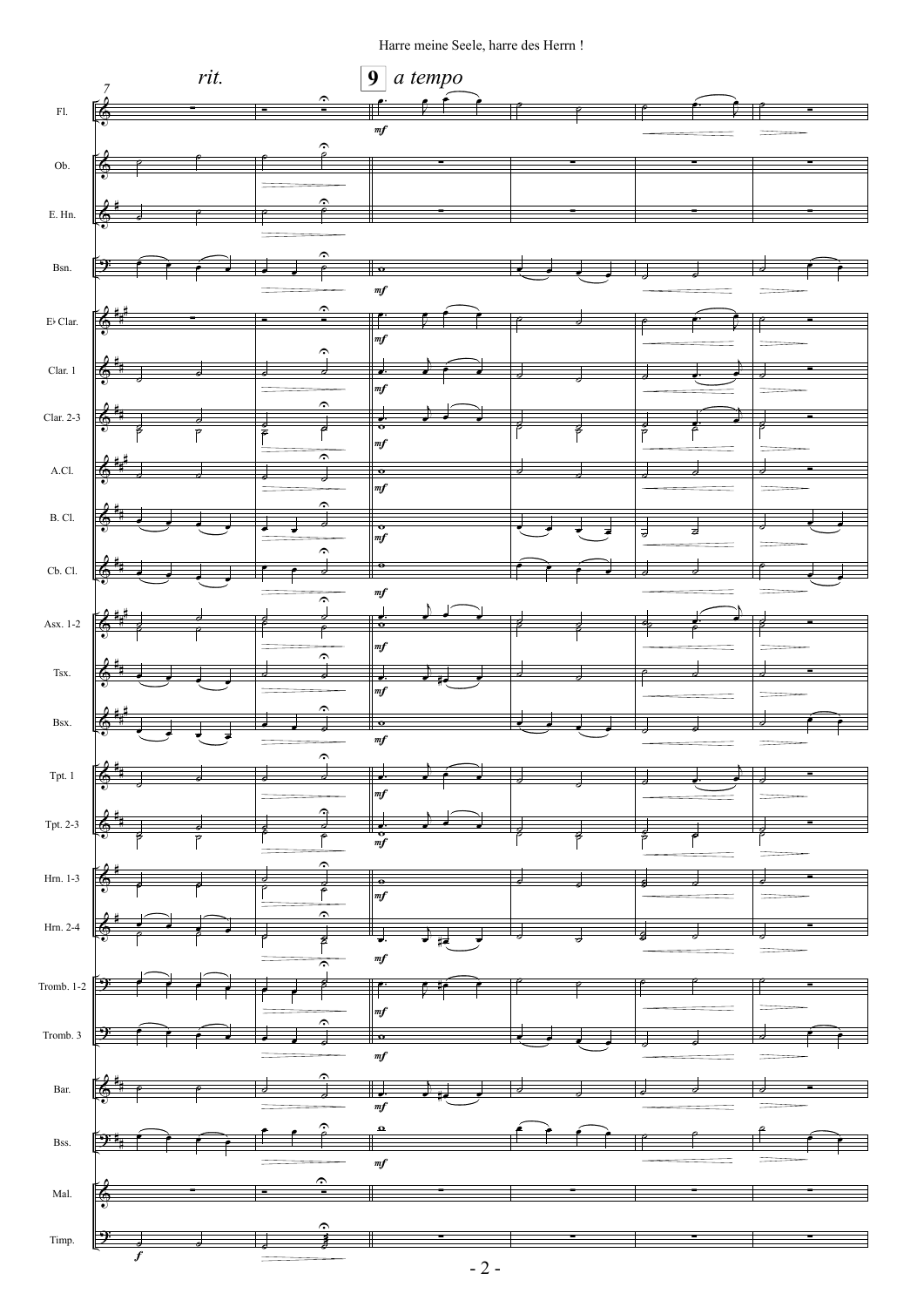Harre meine Seele, harre des Herrn !

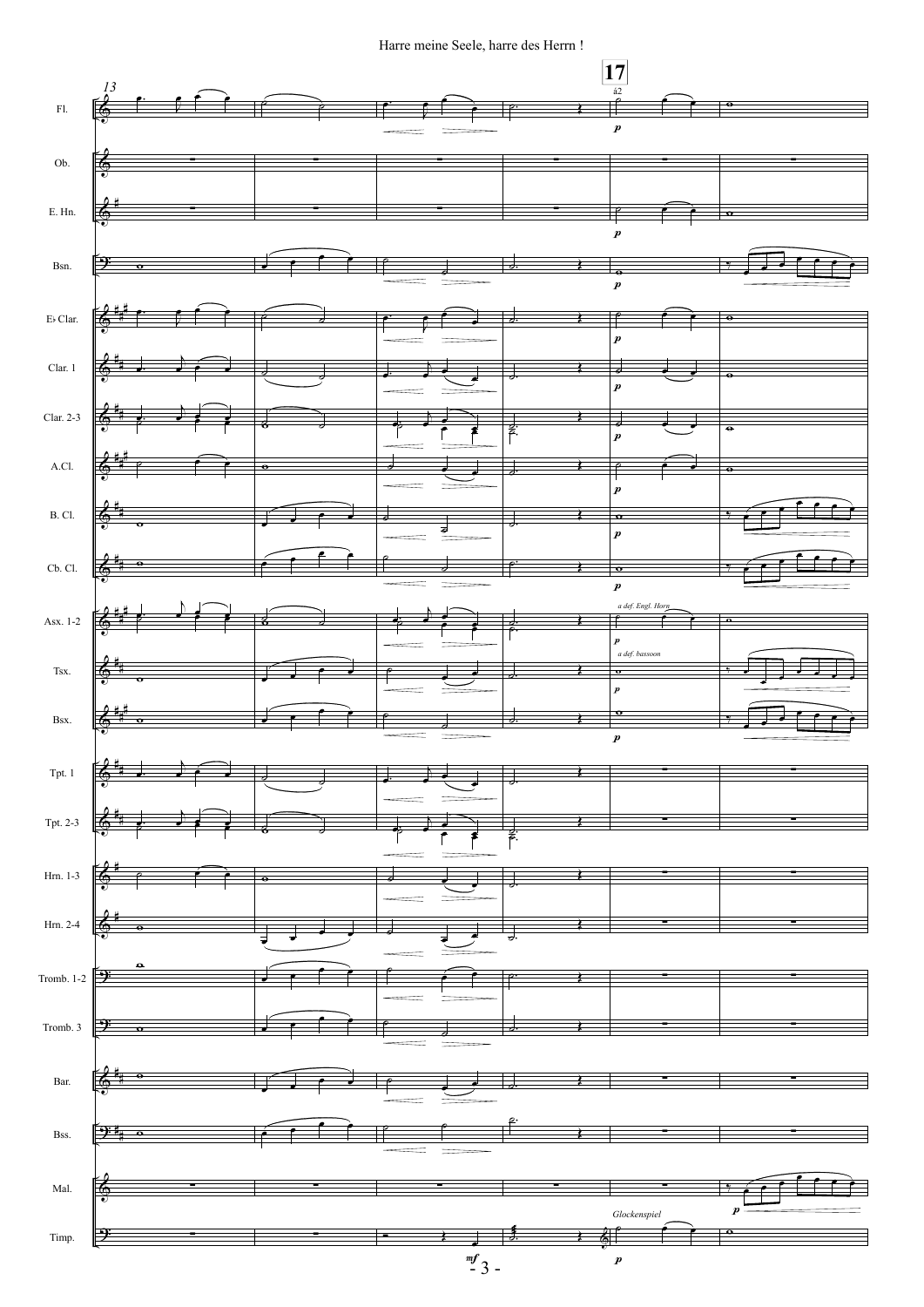## Harre meine Seele, harre des Herrn !

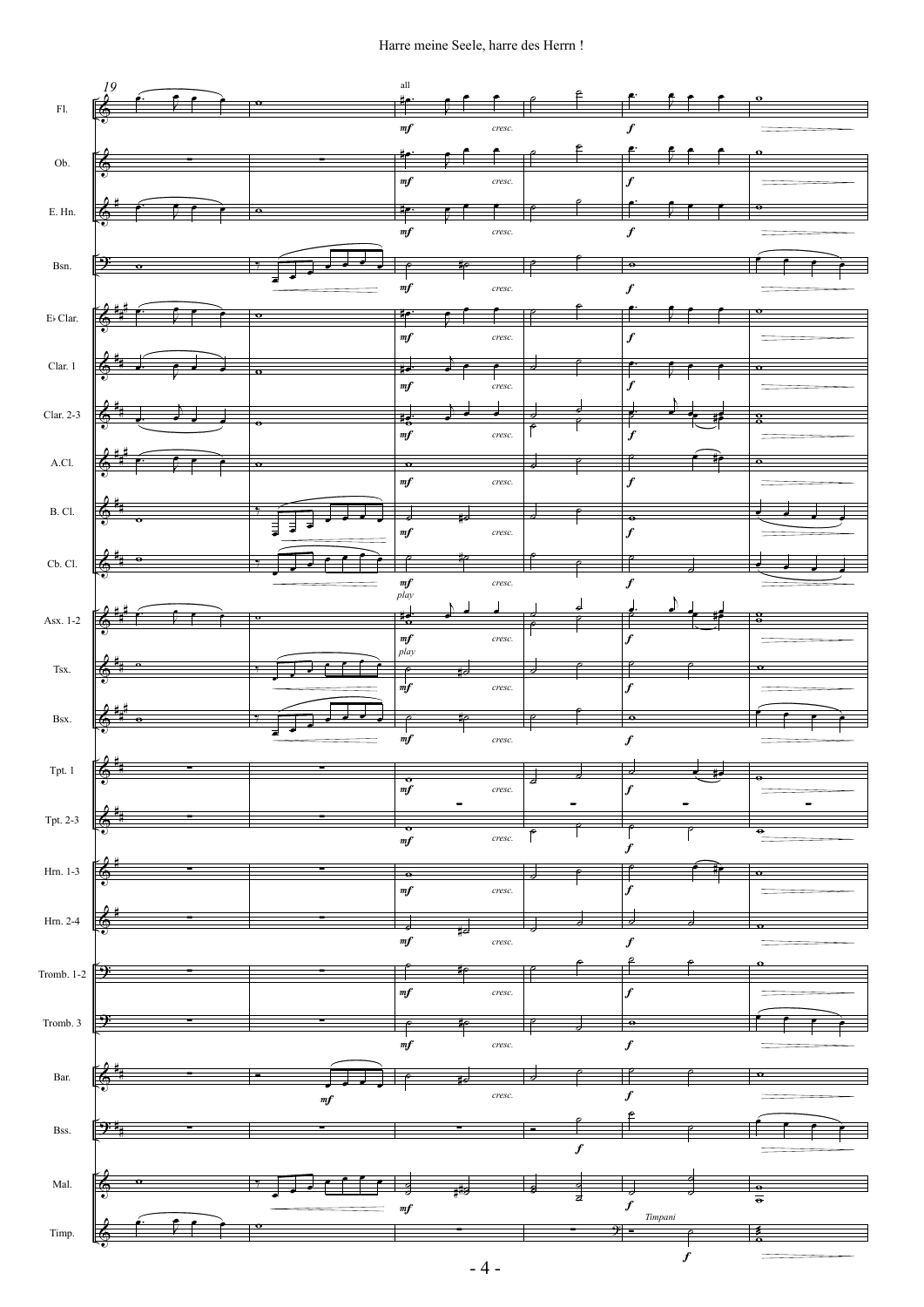## Harre meine Seele, harre des Herrn !



- 4 -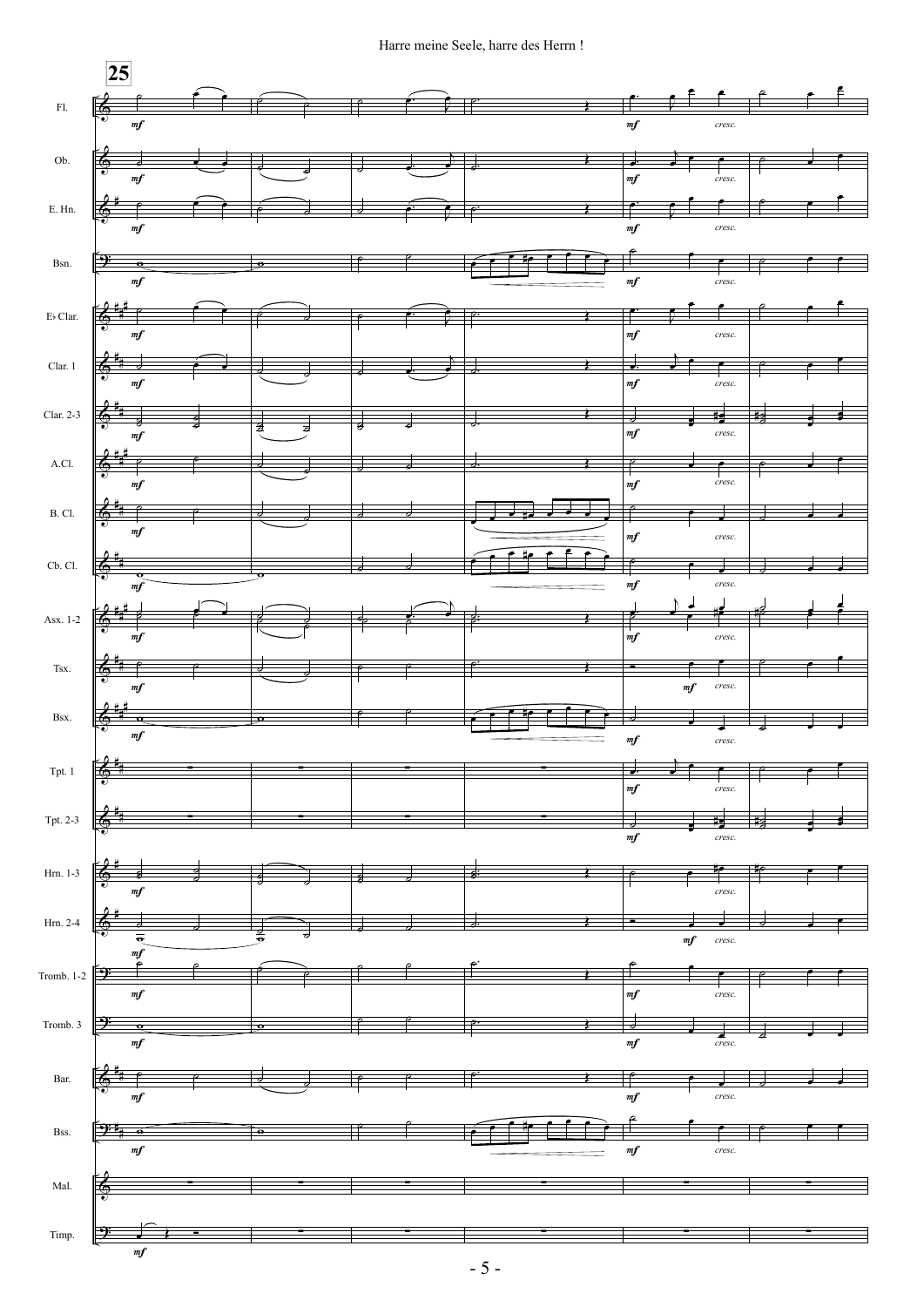